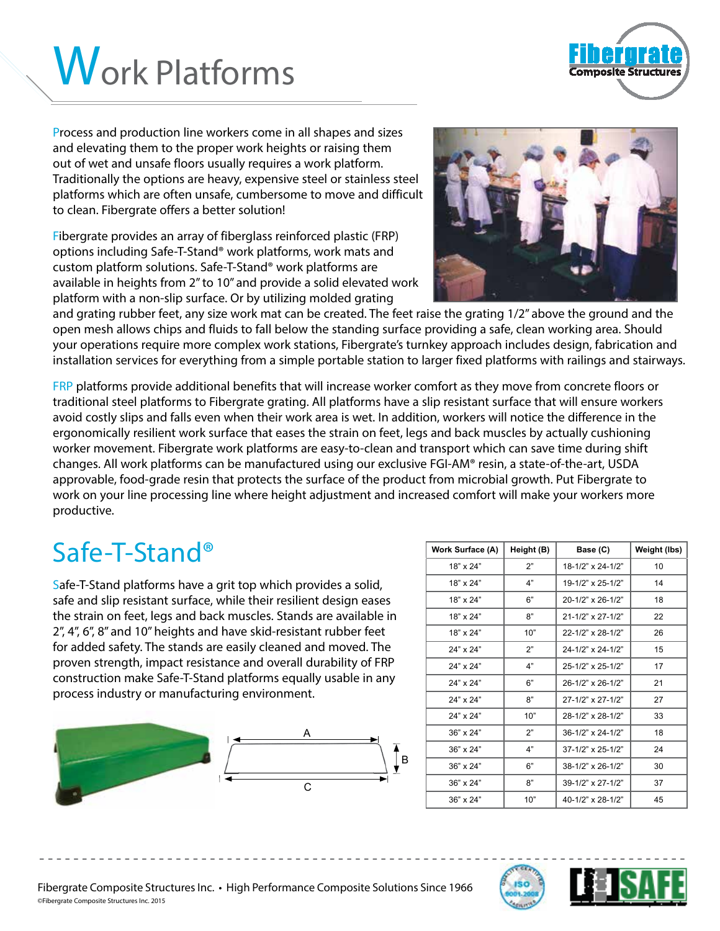

Process and production line workers come in all shapes and sizes and elevating them to the proper work heights or raising them out of wet and unsafe floors usually requires a work platform. Traditionally the options are heavy, expensive steel or stainless steel platforms which are often unsafe, cumbersome to move and difficult to clean. Fibergrate offers a better solution!

Fibergrate provides an array of fiberglass reinforced plastic (FRP) options including Safe-T-Stand® work platforms, work mats and custom platform solutions. Safe-T-Stand® work platforms are available in heights from 2" to 10" and provide a solid elevated work platform with a non-slip surface. Or by utilizing molded grating



omposite Structu

and grating rubber feet, any size work mat can be created. The feet raise the grating 1/2" above the ground and the open mesh allows chips and fluids to fall below the standing surface providing a safe, clean working area. Should your operations require more complex work stations, Fibergrate's turnkey approach includes design, fabrication and installation services for everything from a simple portable station to larger fixed platforms with railings and stairways.

FRP platforms provide additional benefits that will increase worker comfort as they move from concrete floors or traditional steel platforms to Fibergrate grating. All platforms have a slip resistant surface that will ensure workers avoid costly slips and falls even when their work area is wet. In addition, workers will notice the difference in the ergonomically resilient work surface that eases the strain on feet, legs and back muscles by actually cushioning worker movement. Fibergrate work platforms are easy-to-clean and transport which can save time during shift changes. All work platforms can be manufactured using our exclusive FGI-AM® resin, a state-of-the-art, USDA approvable, food-grade resin that protects the surface of the product from microbial growth. Put Fibergrate to work on your line processing line where height adjustment and increased comfort will make your workers more productive.

- - - - - - - - - - - - - - - - - - - - - - - - - - - - - - - - - - - - - - - - - - - - - - - - - - - - - - - - - - - - - - - - - - - - - - - - - - - -

#### $Safe-T-Stand<sup>®</sup>$

Safe-T-Stand platforms have a grit top which provides a solid, safe and slip resistant surface, while their resilient design eases the strain on feet, legs and back muscles. Stands are available in 2", 4", 6", 8" and 10" heights and have skid-resistant rubber feet for added safety. The stands are easily cleaned and moved. The proven strength, impact resistance and overall durability of FRP construction make Safe-T-Stand platforms equally usable in any process industry or manufacturing environment.



| <b>Work Surface (A)</b> | Height (B) | Base (C)                 | Weight (lbs) |
|-------------------------|------------|--------------------------|--------------|
| 18" x 24"               | 2"         | 18-1/2" x 24-1/2"        | 10           |
| 18" x 24"               | 4"         | 19-1/2" x 25-1/2"        | 14           |
| 18" x 24"               | 6"         | 20-1/2" x 26-1/2"        | 18           |
| 18" x 24"               | 8"         | 21-1/2" x 27-1/2"        | 22           |
| 18" x 24"               | 10"        | 22-1/2" x 28-1/2"        | 26           |
| 24" x 24"               | 2"         | 24-1/2" x 24-1/2"        | 15           |
| 24" x 24"               | 4"         | 25-1/2" x 25-1/2"        | 17           |
| 24" x 24"               | 6"         | 26-1/2" x 26-1/2"        | 21           |
| 24" x 24"               | 8"         | 27-1/2" x 27-1/2"        | 27           |
| 24" x 24"               | 10"        | 28-1/2" x 28-1/2"        | 33           |
| 36" x 24"               | 2"         | $36-1/2" \times 24-1/2"$ | 18           |
| 36" x 24"               | 4"         | 37-1/2" x 25-1/2"        | 24           |
| 36" x 24"               | 6"         | 38-1/2" x 26-1/2"        | 30           |
| 36" x 24"               | 8"         | 39-1/2" x 27-1/2"        | 37           |
| 36" x 24"               | 10"        | 40-1/2" x 28-1/2"        | 45           |